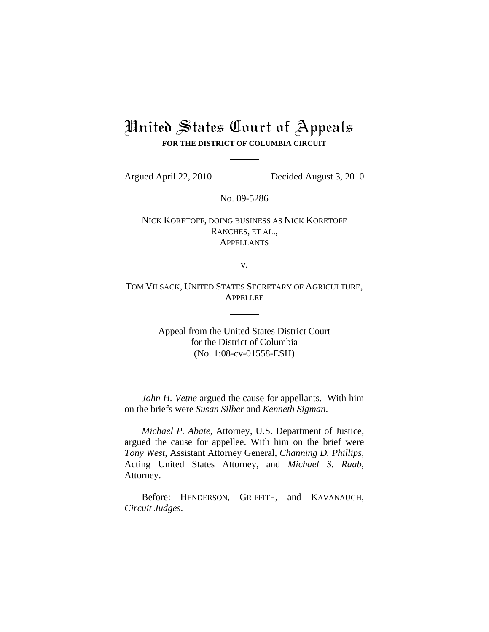# United States Court of Appeals **FOR THE DISTRICT OF COLUMBIA CIRCUIT**

Argued April 22, 2010 Decided August 3, 2010

No. 09-5286

NICK KORETOFF, DOING BUSINESS AS NICK KORETOFF RANCHES, ET AL., APPELLANTS

v.

TOM VILSACK, UNITED STATES SECRETARY OF AGRICULTURE, APPELLEE

> Appeal from the United States District Court for the District of Columbia (No. 1:08-cv-01558-ESH)

*John H. Vetne* argued the cause for appellants. With him on the briefs were *Susan Silber* and *Kenneth Sigman*.

*Michael P. Abate*, Attorney, U.S. Department of Justice, argued the cause for appellee. With him on the brief were *Tony West*, Assistant Attorney General, *Channing D. Phillips*, Acting United States Attorney, and *Michael S. Raab*, Attorney.

Before: HENDERSON, GRIFFITH, and KAVANAUGH, *Circuit Judges*.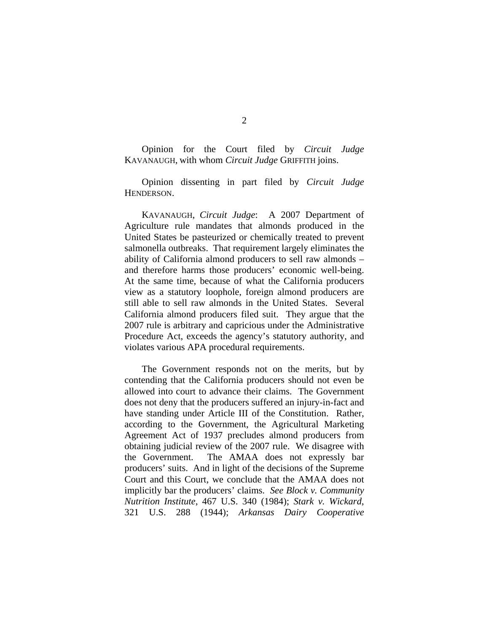Opinion for the Court filed by *Circuit Judge* KAVANAUGH, with whom *Circuit Judge* GRIFFITH joins.

Opinion dissenting in part filed by *Circuit Judge* HENDERSON.

KAVANAUGH, *Circuit Judge*: A 2007 Department of Agriculture rule mandates that almonds produced in the United States be pasteurized or chemically treated to prevent salmonella outbreaks. That requirement largely eliminates the ability of California almond producers to sell raw almonds – and therefore harms those producers' economic well-being. At the same time, because of what the California producers view as a statutory loophole, foreign almond producers are still able to sell raw almonds in the United States. Several California almond producers filed suit. They argue that the 2007 rule is arbitrary and capricious under the Administrative Procedure Act, exceeds the agency's statutory authority, and violates various APA procedural requirements.

The Government responds not on the merits, but by contending that the California producers should not even be allowed into court to advance their claims. The Government does not deny that the producers suffered an injury-in-fact and have standing under Article III of the Constitution. Rather, according to the Government, the Agricultural Marketing Agreement Act of 1937 precludes almond producers from obtaining judicial review of the 2007 rule. We disagree with the Government. The AMAA does not expressly bar producers' suits. And in light of the decisions of the Supreme Court and this Court, we conclude that the AMAA does not implicitly bar the producers' claims. *See Block v. Community Nutrition Institute*, 467 U.S. 340 (1984); *Stark v. Wickard*, 321 U.S. 288 (1944); *Arkansas Dairy Cooperative*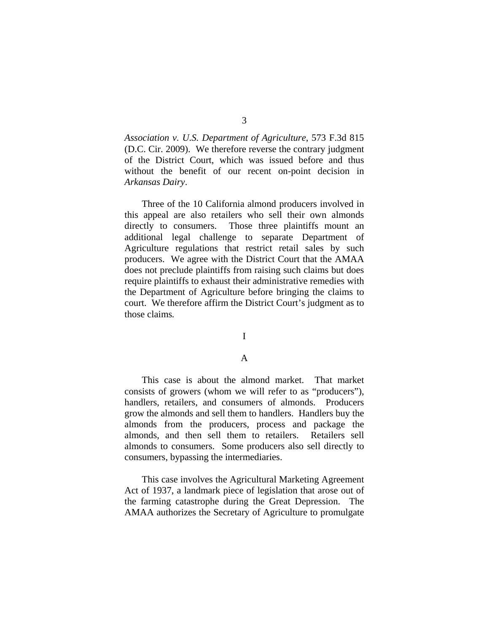*Association v. U.S. Department of Agriculture*, 573 F.3d 815 (D.C. Cir. 2009). We therefore reverse the contrary judgment of the District Court, which was issued before and thus without the benefit of our recent on-point decision in *Arkansas Dairy*.

Three of the 10 California almond producers involved in this appeal are also retailers who sell their own almonds directly to consumers. Those three plaintiffs mount an additional legal challenge to separate Department of Agriculture regulations that restrict retail sales by such producers. We agree with the District Court that the AMAA does not preclude plaintiffs from raising such claims but does require plaintiffs to exhaust their administrative remedies with the Department of Agriculture before bringing the claims to court. We therefore affirm the District Court's judgment as to those claims*.* 

## I

## A

This case is about the almond market. That market consists of growers (whom we will refer to as "producers"), handlers, retailers, and consumers of almonds. Producers grow the almonds and sell them to handlers. Handlers buy the almonds from the producers, process and package the almonds, and then sell them to retailers. Retailers sell almonds to consumers. Some producers also sell directly to consumers, bypassing the intermediaries.

This case involves the Agricultural Marketing Agreement Act of 1937, a landmark piece of legislation that arose out of the farming catastrophe during the Great Depression. The AMAA authorizes the Secretary of Agriculture to promulgate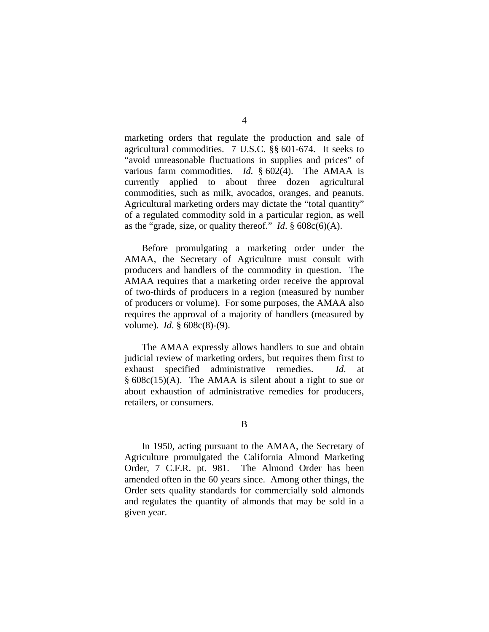marketing orders that regulate the production and sale of agricultural commodities. 7 U.S.C. §§ 601-674. It seeks to "avoid unreasonable fluctuations in supplies and prices" of various farm commodities. *Id.* § 602(4). The AMAA is currently applied to about three dozen agricultural commodities, such as milk, avocados, oranges, and peanuts. Agricultural marketing orders may dictate the "total quantity" of a regulated commodity sold in a particular region, as well as the "grade, size, or quality thereof." *Id*. § 608c(6)(A).

Before promulgating a marketing order under the AMAA, the Secretary of Agriculture must consult with producers and handlers of the commodity in question. The AMAA requires that a marketing order receive the approval of two-thirds of producers in a region (measured by number of producers or volume). For some purposes, the AMAA also requires the approval of a majority of handlers (measured by volume). *Id*. § 608c(8)-(9).

The AMAA expressly allows handlers to sue and obtain judicial review of marketing orders, but requires them first to exhaust specified administrative remedies. *Id*. at § 608c(15)(A). The AMAA is silent about a right to sue or about exhaustion of administrative remedies for producers, retailers, or consumers.

B

In 1950, acting pursuant to the AMAA, the Secretary of Agriculture promulgated the California Almond Marketing Order, 7 C.F.R. pt. 981. The Almond Order has been amended often in the 60 years since. Among other things, the Order sets quality standards for commercially sold almonds and regulates the quantity of almonds that may be sold in a given year.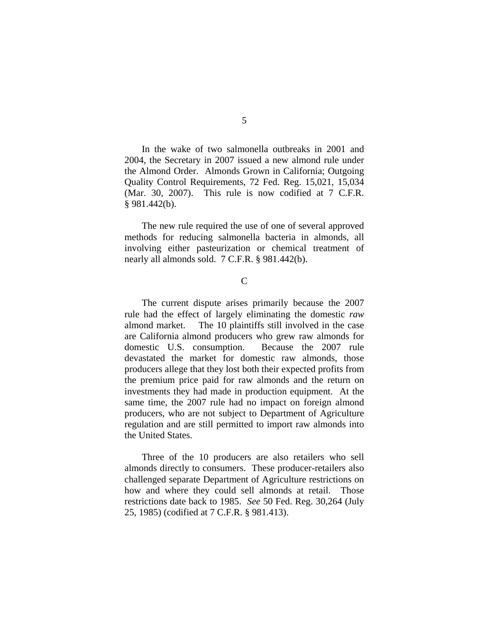In the wake of two salmonella outbreaks in 2001 and 2004, the Secretary in 2007 issued a new almond rule under the Almond Order. Almonds Grown in California; Outgoing Quality Control Requirements, 72 Fed. Reg. 15,021, 15,034 (Mar. 30, 2007). This rule is now codified at 7 C.F.R. § 981.442(b).

The new rule required the use of one of several approved methods for reducing salmonella bacteria in almonds, all involving either pasteurization or chemical treatment of nearly all almonds sold. 7 C.F.R. § 981.442(b).

# $\mathcal{C}$

The current dispute arises primarily because the 2007 rule had the effect of largely eliminating the domestic *raw* almond market. The 10 plaintiffs still involved in the case are California almond producers who grew raw almonds for domestic U.S. consumption. Because the 2007 rule devastated the market for domestic raw almonds, those producers allege that they lost both their expected profits from the premium price paid for raw almonds and the return on investments they had made in production equipment. At the same time, the 2007 rule had no impact on foreign almond producers, who are not subject to Department of Agriculture regulation and are still permitted to import raw almonds into the United States.

Three of the 10 producers are also retailers who sell almonds directly to consumers. These producer-retailers also challenged separate Department of Agriculture restrictions on how and where they could sell almonds at retail. Those restrictions date back to 1985. *See* 50 Fed. Reg. 30,264 (July 25, 1985) (codified at 7 C.F.R. § 981.413).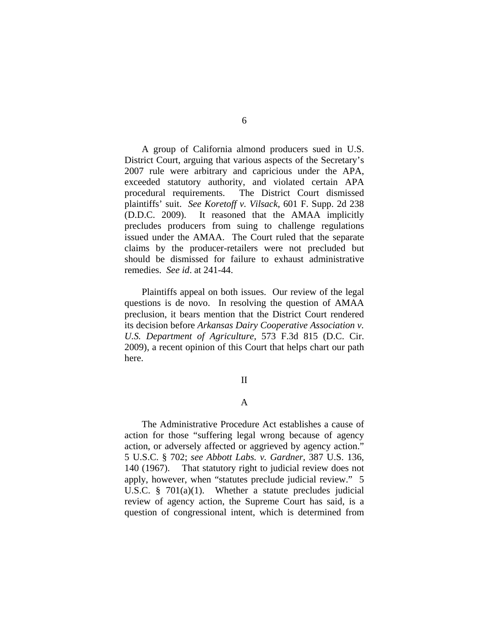A group of California almond producers sued in U.S. District Court, arguing that various aspects of the Secretary's 2007 rule were arbitrary and capricious under the APA, exceeded statutory authority, and violated certain APA procedural requirements. The District Court dismissed plaintiffs' suit. *See Koretoff v. Vilsack*, 601 F. Supp. 2d 238 (D.D.C. 2009). It reasoned that the AMAA implicitly precludes producers from suing to challenge regulations issued under the AMAA. The Court ruled that the separate claims by the producer-retailers were not precluded but should be dismissed for failure to exhaust administrative remedies. *See id*. at 241-44.

 Plaintiffs appeal on both issues. Our review of the legal questions is de novo. In resolving the question of AMAA preclusion, it bears mention that the District Court rendered its decision before *Arkansas Dairy Cooperative Association v. U.S. Department of Agriculture*, 573 F.3d 815 (D.C. Cir. 2009), a recent opinion of this Court that helps chart our path here.

#### II

## A

The Administrative Procedure Act establishes a cause of action for those "suffering legal wrong because of agency action, or adversely affected or aggrieved by agency action." 5 U.S.C. § 702; *see Abbott Labs. v. Gardner*, 387 U.S. 136, 140 (1967).That statutory right to judicial review does not apply, however, when "statutes preclude judicial review." 5 U.S.C. § 701(a)(1). Whether a statute precludes judicial review of agency action, the Supreme Court has said, is a question of congressional intent, which is determined from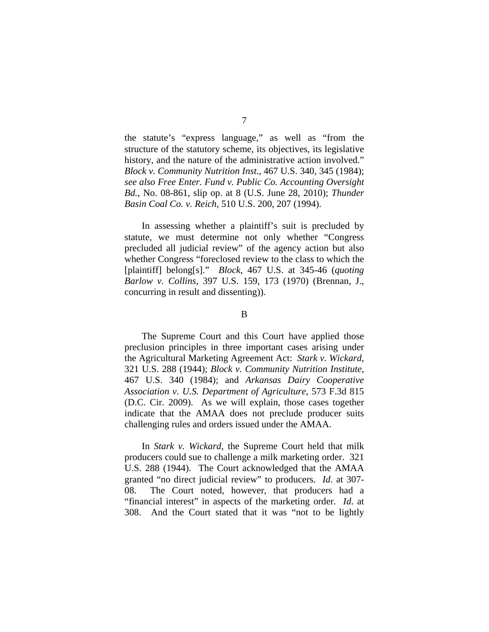the statute's "express language," as well as "from the structure of the statutory scheme, its objectives, its legislative history, and the nature of the administrative action involved." *Block v. Community Nutrition Inst.*, 467 U.S. 340, 345 (1984); *see also Free Enter. Fund v. Public Co. Accounting Oversight Bd.*, No. 08-861, slip op. at 8 (U.S. June 28, 2010); *Thunder Basin Coal Co. v. Reich*, 510 U.S. 200, 207 (1994).

In assessing whether a plaintiff's suit is precluded by statute, we must determine not only whether "Congress precluded all judicial review" of the agency action but also whether Congress "foreclosed review to the class to which the [plaintiff] belong[s]." *Block*, 467 U.S. at 345-46 (*quoting Barlow v. Collins*, 397 U.S. 159, 173 (1970) (Brennan, J., concurring in result and dissenting)).

## B

The Supreme Court and this Court have applied those preclusion principles in three important cases arising under the Agricultural Marketing Agreement Act: *Stark v. Wickard*, 321 U.S. 288 (1944); *Block v. Community Nutrition Institute*, 467 U.S. 340 (1984); and *Arkansas Dairy Cooperative Association v. U.S. Department of Agriculture*, 573 F.3d 815 (D.C. Cir. 2009). As we will explain, those cases together indicate that the AMAA does not preclude producer suits challenging rules and orders issued under the AMAA.

In *Stark v. Wickard*, the Supreme Court held that milk producers could sue to challenge a milk marketing order. 321 U.S. 288 (1944). The Court acknowledged that the AMAA granted "no direct judicial review" to producers. *Id*. at 307- 08. The Court noted, however, that producers had a "financial interest" in aspects of the marketing order. *Id*. at 308. And the Court stated that it was "not to be lightly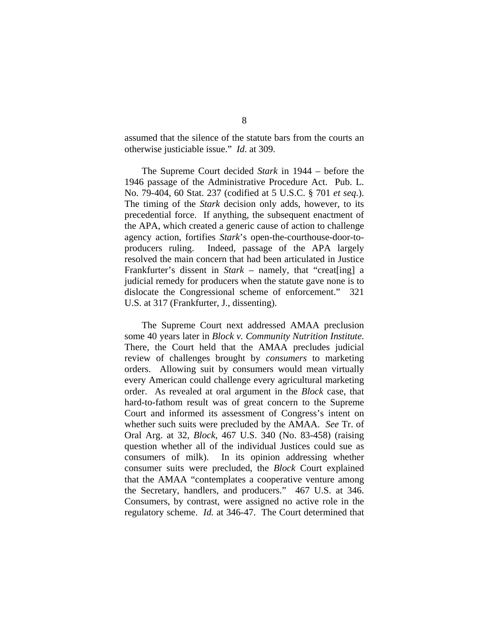assumed that the silence of the statute bars from the courts an otherwise justiciable issue." *Id*. at 309.

The Supreme Court decided *Stark* in 1944 – before the 1946 passage of the Administrative Procedure Act. Pub. L. No. 79-404, 60 Stat. 237 (codified at 5 U.S.C. § 701 *et seq*.). The timing of the *Stark* decision only adds, however, to its precedential force. If anything, the subsequent enactment of the APA, which created a generic cause of action to challenge agency action, fortifies *Stark*'s open-the-courthouse-door-toproducers ruling. Indeed, passage of the APA largely resolved the main concern that had been articulated in Justice Frankfurter's dissent in *Stark* – namely, that "creat [ing] a judicial remedy for producers when the statute gave none is to dislocate the Congressional scheme of enforcement." 321 U.S. at 317 (Frankfurter, J., dissenting).

The Supreme Court next addressed AMAA preclusion some 40 years later in *Block v. Community Nutrition Institute*. There, the Court held that the AMAA precludes judicial review of challenges brought by *consumers* to marketing orders. Allowing suit by consumers would mean virtually every American could challenge every agricultural marketing order. As revealed at oral argument in the *Block* case, that hard-to-fathom result was of great concern to the Supreme Court and informed its assessment of Congress's intent on whether such suits were precluded by the AMAA. *See* Tr. of Oral Arg. at 32, *Block*, 467 U.S. 340 (No. 83-458) (raising question whether all of the individual Justices could sue as consumers of milk). In its opinion addressing whether consumer suits were precluded, the *Block* Court explained that the AMAA "contemplates a cooperative venture among the Secretary, handlers, and producers." 467 U.S. at 346. Consumers, by contrast, were assigned no active role in the regulatory scheme. *Id.* at 346-47. The Court determined that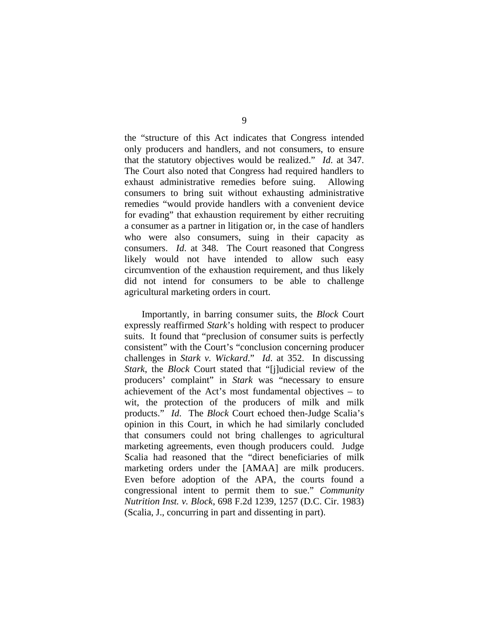the "structure of this Act indicates that Congress intended only producers and handlers, and not consumers, to ensure that the statutory objectives would be realized." *Id*. at 347. The Court also noted that Congress had required handlers to exhaust administrative remedies before suing. Allowing consumers to bring suit without exhausting administrative remedies "would provide handlers with a convenient device for evading" that exhaustion requirement by either recruiting a consumer as a partner in litigation or, in the case of handlers who were also consumers, suing in their capacity as consumers. *Id*. at 348. The Court reasoned that Congress likely would not have intended to allow such easy circumvention of the exhaustion requirement, and thus likely did not intend for consumers to be able to challenge agricultural marketing orders in court.

Importantly, in barring consumer suits, the *Block* Court expressly reaffirmed *Stark*'s holding with respect to producer suits. It found that "preclusion of consumer suits is perfectly consistent" with the Court's "conclusion concerning producer challenges in *Stark v. Wickard*." *Id*. at 352. In discussing *Stark*, the *Block* Court stated that "[j]udicial review of the producers' complaint" in *Stark* was "necessary to ensure achievement of the Act's most fundamental objectives – to wit, the protection of the producers of milk and milk products." *Id*. The *Block* Court echoed then-Judge Scalia's opinion in this Court, in which he had similarly concluded that consumers could not bring challenges to agricultural marketing agreements, even though producers could. Judge Scalia had reasoned that the "direct beneficiaries of milk marketing orders under the [AMAA] are milk producers. Even before adoption of the APA, the courts found a congressional intent to permit them to sue." *Community Nutrition Inst. v. Block*, 698 F.2d 1239, 1257 (D.C. Cir. 1983) (Scalia, J., concurring in part and dissenting in part).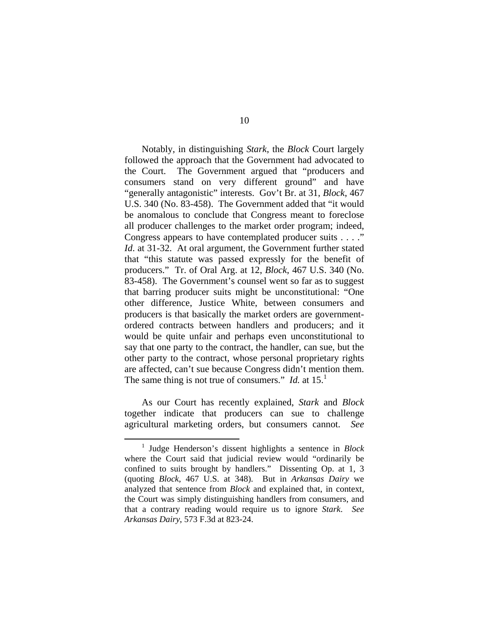Notably, in distinguishing *Stark*, the *Block* Court largely followed the approach that the Government had advocated to the Court. The Government argued that "producers and consumers stand on very different ground" and have "generally antagonistic" interests. Gov't Br. at 31, *Block*, 467 U.S. 340 (No. 83-458). The Government added that "it would be anomalous to conclude that Congress meant to foreclose all producer challenges to the market order program; indeed, Congress appears to have contemplated producer suits . . . ." *Id*. at 31-32.At oral argument, the Government further stated that "this statute was passed expressly for the benefit of producers." Tr. of Oral Arg. at 12, *Block*, 467 U.S. 340 (No. 83-458). The Government's counsel went so far as to suggest that barring producer suits might be unconstitutional: "One other difference, Justice White, between consumers and producers is that basically the market orders are governmentordered contracts between handlers and producers; and it would be quite unfair and perhaps even unconstitutional to say that one party to the contract, the handler, can sue, but the other party to the contract, whose personal proprietary rights are affected, can't sue because Congress didn't mention them. The same thing is not true of consumers." *Id.* at  $15$ .<sup>1</sup>

 As our Court has recently explained, *Stark* and *Block* together indicate that producers can sue to challenge agricultural marketing orders, but consumers cannot. *See* 

 $\frac{1}{1}$ <sup>1</sup> Judge Henderson's dissent highlights a sentence in *Block* where the Court said that judicial review would "ordinarily be confined to suits brought by handlers." Dissenting Op. at 1, 3 (quoting *Block*, 467 U.S. at 348). But in *Arkansas Dairy* we analyzed that sentence from *Block* and explained that, in context, the Court was simply distinguishing handlers from consumers, and that a contrary reading would require us to ignore *Stark*. *See Arkansas Dairy*, 573 F.3d at 823-24.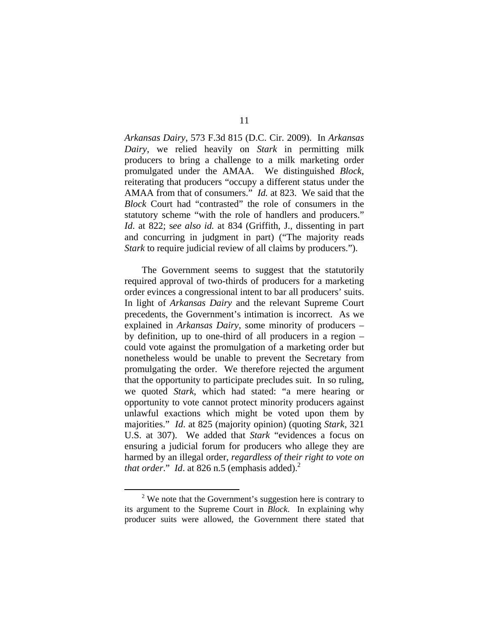*Arkansas Dairy*, 573 F.3d 815 (D.C. Cir. 2009). In *Arkansas Dairy*, we relied heavily on *Stark* in permitting milk producers to bring a challenge to a milk marketing order promulgated under the AMAA. We distinguished *Block*, reiterating that producers "occupy a different status under the AMAA from that of consumers." *Id.* at 823. We said that the *Block* Court had "contrasted" the role of consumers in the statutory scheme "with the role of handlers and producers." *Id*. at 822; s*ee also id.* at 834 (Griffith, J., dissenting in part and concurring in judgment in part) ("The majority reads *Stark* to require judicial review of all claims by producers.").

 The Government seems to suggest that the statutorily required approval of two-thirds of producers for a marketing order evinces a congressional intent to bar all producers' suits. In light of *Arkansas Dairy* and the relevant Supreme Court precedents, the Government's intimation is incorrect. As we explained in *Arkansas Dairy*, some minority of producers – by definition, up to one-third of all producers in a region – could vote against the promulgation of a marketing order but nonetheless would be unable to prevent the Secretary from promulgating the order. We therefore rejected the argument that the opportunity to participate precludes suit. In so ruling, we quoted *Stark*, which had stated: "a mere hearing or opportunity to vote cannot protect minority producers against unlawful exactions which might be voted upon them by majorities." *Id*. at 825 (majority opinion) (quoting *Stark*, 321 U.S. at 307). We added that *Stark* "evidences a focus on ensuring a judicial forum for producers who allege they are harmed by an illegal order, *regardless of their right to vote on that order.*" *Id.* at 826 n.5 (emphasis added).<sup>2</sup>

 <sup>2</sup>  $2$  We note that the Government's suggestion here is contrary to its argument to the Supreme Court in *Block*. In explaining why producer suits were allowed, the Government there stated that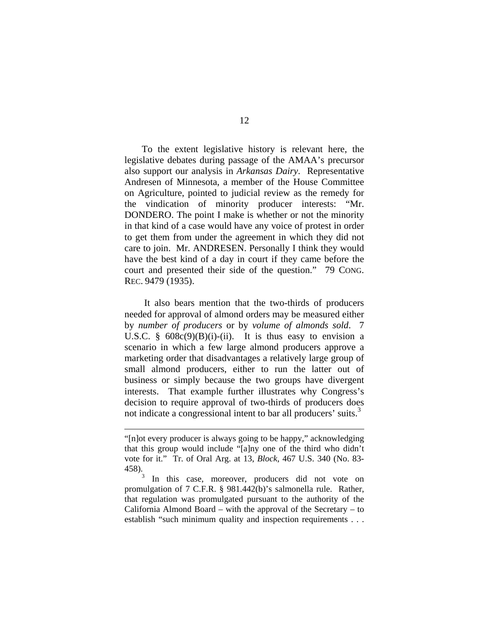To the extent legislative history is relevant here, the legislative debates during passage of the AMAA's precursor also support our analysis in *Arkansas Dairy*. Representative Andresen of Minnesota, a member of the House Committee on Agriculture, pointed to judicial review as the remedy for the vindication of minority producer interests: "Mr. DONDERO. The point I make is whether or not the minority in that kind of a case would have any voice of protest in order to get them from under the agreement in which they did not care to join. Mr. ANDRESEN. Personally I think they would have the best kind of a day in court if they came before the court and presented their side of the question." 79 CONG. REC. 9479 (1935).

 It also bears mention that the two-thirds of producers needed for approval of almond orders may be measured either by *number of producers* or by *volume of almonds sold*. 7 U.S.C.  $\frac{608c(9)(B)(i)-(ii)}{i}$ . It is thus easy to envision a scenario in which a few large almond producers approve a marketing order that disadvantages a relatively large group of small almond producers, either to run the latter out of business or simply because the two groups have divergent interests. That example further illustrates why Congress's decision to require approval of two-thirds of producers does not indicate a congressional intent to bar all producers' suits.<sup>3</sup>

 $\overline{a}$ 

<sup>&</sup>quot;[n]ot every producer is always going to be happy," acknowledging that this group would include "[a]ny one of the third who didn't vote for it." Tr. of Oral Arg. at 13, *Block*, 467 U.S. 340 (No. 83- 458).

<sup>3</sup> In this case, moreover, producers did not vote on promulgation of 7 C.F.R. § 981.442(b)'s salmonella rule. Rather, that regulation was promulgated pursuant to the authority of the California Almond Board – with the approval of the Secretary – to establish "such minimum quality and inspection requirements . . .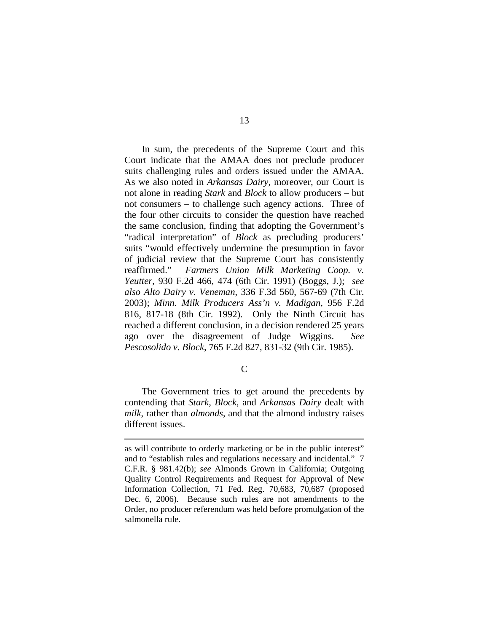In sum, the precedents of the Supreme Court and this Court indicate that the AMAA does not preclude producer suits challenging rules and orders issued under the AMAA. As we also noted in *Arkansas Dairy*, moreover, our Court is not alone in reading *Stark* and *Block* to allow producers – but not consumers – to challenge such agency actions. Three of the four other circuits to consider the question have reached the same conclusion, finding that adopting the Government's "radical interpretation" of *Block* as precluding producers' suits "would effectively undermine the presumption in favor of judicial review that the Supreme Court has consistently reaffirmed." *Farmers Union Milk Marketing Coop. v. Yeutter*, 930 F.2d 466, 474 (6th Cir. 1991) (Boggs, J.); *see also Alto Dairy v. Veneman*, 336 F.3d 560, 567-69 (7th Cir. 2003); *Minn. Milk Producers Ass'n v. Madigan*, 956 F.2d 816, 817-18 (8th Cir. 1992). Only the Ninth Circuit has reached a different conclusion, in a decision rendered 25 years ago over the disagreement of Judge Wiggins. *See Pescosolido v. Block*, 765 F.2d 827, 831-32 (9th Cir. 1985).

 $\mathcal{C}$ 

 The Government tries to get around the precedents by contending that *Stark*, *Block*, and *Arkansas Dairy* dealt with *milk*, rather than *almonds*, and that the almond industry raises different issues.

1

as will contribute to orderly marketing or be in the public interest" and to "establish rules and regulations necessary and incidental." 7 C.F.R. § 981.42(b); *see* Almonds Grown in California; Outgoing Quality Control Requirements and Request for Approval of New Information Collection, 71 Fed. Reg. 70,683, 70,687 (proposed Dec. 6, 2006). Because such rules are not amendments to the Order, no producer referendum was held before promulgation of the salmonella rule.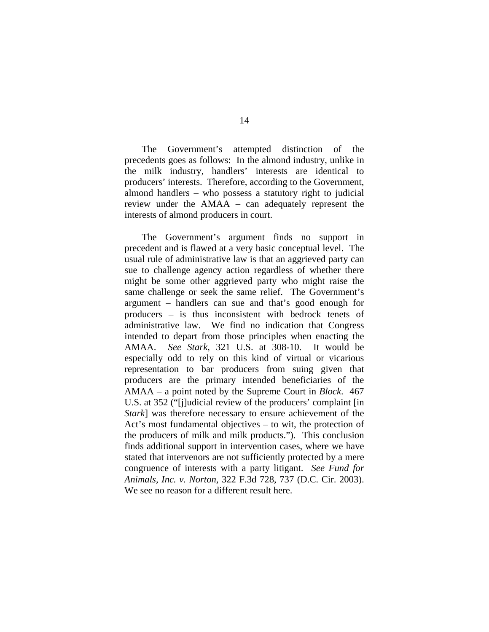The Government's attempted distinction of the precedents goes as follows: In the almond industry, unlike in the milk industry, handlers' interests are identical to producers' interests. Therefore, according to the Government, almond handlers – who possess a statutory right to judicial review under the AMAA – can adequately represent the interests of almond producers in court.

The Government's argument finds no support in precedent and is flawed at a very basic conceptual level. The usual rule of administrative law is that an aggrieved party can sue to challenge agency action regardless of whether there might be some other aggrieved party who might raise the same challenge or seek the same relief. The Government's argument – handlers can sue and that's good enough for producers – is thus inconsistent with bedrock tenets of administrative law. We find no indication that Congress intended to depart from those principles when enacting the AMAA. *See Stark*, 321 U.S. at 308-10.It would be especially odd to rely on this kind of virtual or vicarious representation to bar producers from suing given that producers are the primary intended beneficiaries of the AMAA – a point noted by the Supreme Court in *Block*. 467 U.S. at 352 ("[j]udicial review of the producers' complaint [in *Stark*] was therefore necessary to ensure achievement of the Act's most fundamental objectives – to wit, the protection of the producers of milk and milk products."). This conclusion finds additional support in intervention cases, where we have stated that intervenors are not sufficiently protected by a mere congruence of interests with a party litigant. *See Fund for Animals, Inc. v. Norton*, 322 F.3d 728, 737 (D.C. Cir. 2003). We see no reason for a different result here.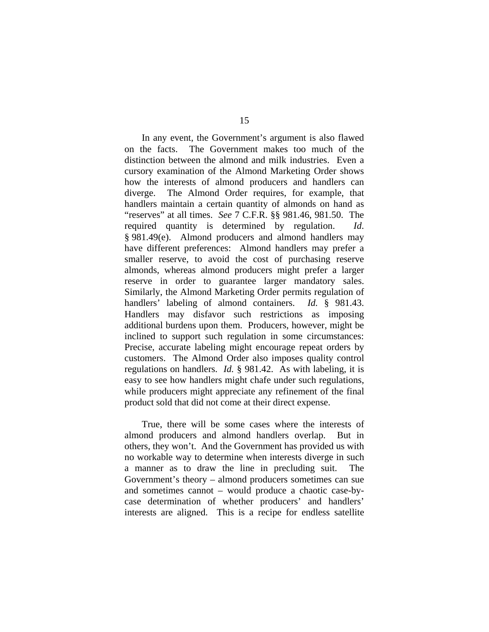In any event, the Government's argument is also flawed on the facts. The Government makes too much of the distinction between the almond and milk industries. Even a cursory examination of the Almond Marketing Order shows how the interests of almond producers and handlers can diverge. The Almond Order requires, for example, that handlers maintain a certain quantity of almonds on hand as "reserves" at all times. *See* 7 C.F.R. §§ 981.46, 981.50. The required quantity is determined by regulation. *Id*. § 981.49(e).Almond producers and almond handlers may have different preferences: Almond handlers may prefer a smaller reserve, to avoid the cost of purchasing reserve almonds, whereas almond producers might prefer a larger reserve in order to guarantee larger mandatory sales. Similarly, the Almond Marketing Order permits regulation of handlers' labeling of almond containers. *Id.* § 981.43. Handlers may disfavor such restrictions as imposing additional burdens upon them. Producers, however, might be inclined to support such regulation in some circumstances: Precise, accurate labeling might encourage repeat orders by customers. The Almond Order also imposes quality control regulations on handlers. *Id.* § 981.42. As with labeling, it is easy to see how handlers might chafe under such regulations, while producers might appreciate any refinement of the final product sold that did not come at their direct expense.

True, there will be some cases where the interests of almond producers and almond handlers overlap. But in others, they won't. And the Government has provided us with no workable way to determine when interests diverge in such a manner as to draw the line in precluding suit. The Government's theory – almond producers sometimes can sue and sometimes cannot – would produce a chaotic case-bycase determination of whether producers' and handlers' interests are aligned. This is a recipe for endless satellite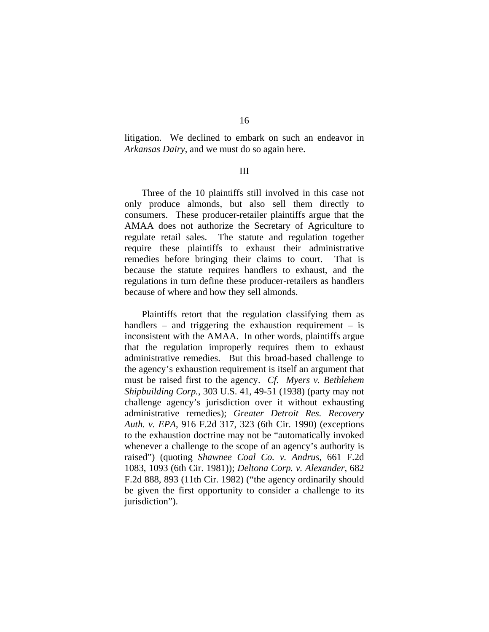litigation. We declined to embark on such an endeavor in *Arkansas Dairy*, and we must do so again here.

### III

Three of the 10 plaintiffs still involved in this case not only produce almonds, but also sell them directly to consumers. These producer-retailer plaintiffs argue that the AMAA does not authorize the Secretary of Agriculture to regulate retail sales. The statute and regulation together require these plaintiffs to exhaust their administrative remedies before bringing their claims to court. That is because the statute requires handlers to exhaust, and the regulations in turn define these producer-retailers as handlers because of where and how they sell almonds.

Plaintiffs retort that the regulation classifying them as handlers – and triggering the exhaustion requirement – is inconsistent with the AMAA. In other words, plaintiffs argue that the regulation improperly requires them to exhaust administrative remedies. But this broad-based challenge to the agency's exhaustion requirement is itself an argument that must be raised first to the agency. *Cf. Myers v. Bethlehem Shipbuilding Corp.*, 303 U.S. 41, 49-51 (1938) (party may not challenge agency's jurisdiction over it without exhausting administrative remedies); *Greater Detroit Res. Recovery Auth. v. EPA*, 916 F.2d 317, 323 (6th Cir. 1990) (exceptions to the exhaustion doctrine may not be "automatically invoked whenever a challenge to the scope of an agency's authority is raised") (quoting *Shawnee Coal Co. v. Andrus*, 661 F.2d 1083, 1093 (6th Cir. 1981)); *Deltona Corp. v. Alexander*, 682 F.2d 888, 893 (11th Cir. 1982) ("the agency ordinarily should be given the first opportunity to consider a challenge to its jurisdiction").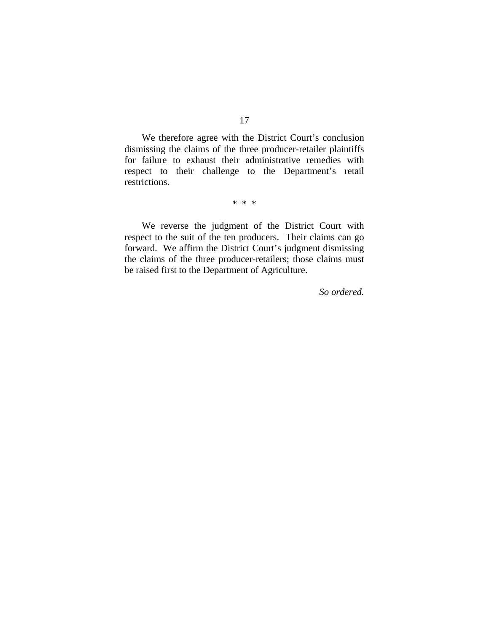We therefore agree with the District Court's conclusion dismissing the claims of the three producer-retailer plaintiffs for failure to exhaust their administrative remedies with respect to their challenge to the Department's retail restrictions.

\* \* \*

 We reverse the judgment of the District Court with respect to the suit of the ten producers. Their claims can go forward. We affirm the District Court's judgment dismissing the claims of the three producer-retailers; those claims must be raised first to the Department of Agriculture.

*So ordered.*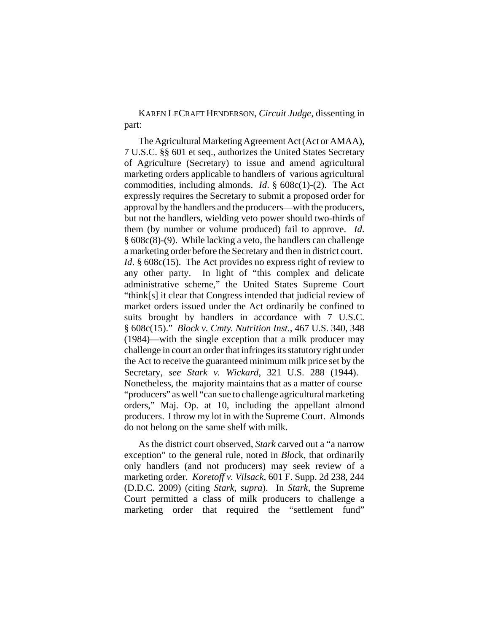KAREN LECRAFT HENDERSON, *Circuit Judge*, dissenting in part:

The Agricultural Marketing Agreement Act (Act or AMAA), 7 U.S.C. §§ 601 et seq., authorizes the United States Secretary of Agriculture (Secretary) to issue and amend agricultural marketing orders applicable to handlers of various agricultural commodities, including almonds. *Id*. § 608c(1)-(2). The Act expressly requires the Secretary to submit a proposed order for approval by the handlers and the producers—with the producers, but not the handlers, wielding veto power should two-thirds of them (by number or volume produced) fail to approve. *Id*. § 608c(8)-(9). While lacking a veto, the handlers can challenge a marketing order before the Secretary and then in district court. *Id.* § 608c(15). The Act provides no express right of review to any other party. In light of "this complex and delicate administrative scheme," the United States Supreme Court "think[s] it clear that Congress intended that judicial review of market orders issued under the Act ordinarily be confined to suits brought by handlers in accordance with 7 U.S.C. § 608c(15)." *Block v. Cmty. Nutrition Inst.*, 467 U.S. 340, 348 (1984)—with the single exception that a milk producer may challenge in court an order that infringes its statutory right under the Act to receive the guaranteed minimum milk price set by the Secretary, *see Stark v. Wickard*, 321 U.S. 288 (1944). Nonetheless, the majority maintains that as a matter of course "producers" as well "can sue to challenge agricultural marketing orders," Maj. Op. at 10, including the appellant almond producers. I throw my lot in with the Supreme Court. Almonds do not belong on the same shelf with milk.

As the district court observed, *Stark* carved out a "a narrow exception" to the general rule, noted in *Bloc*k, that ordinarily only handlers (and not producers) may seek review of a marketing order. *Koretoff v. Vilsack*, 601 F. Supp. 2d 238, 244 (D.D.C. 2009) (citing *Stark*, *supra*). In *Stark*, the Supreme Court permitted a class of milk producers to challenge a marketing order that required the "settlement fund"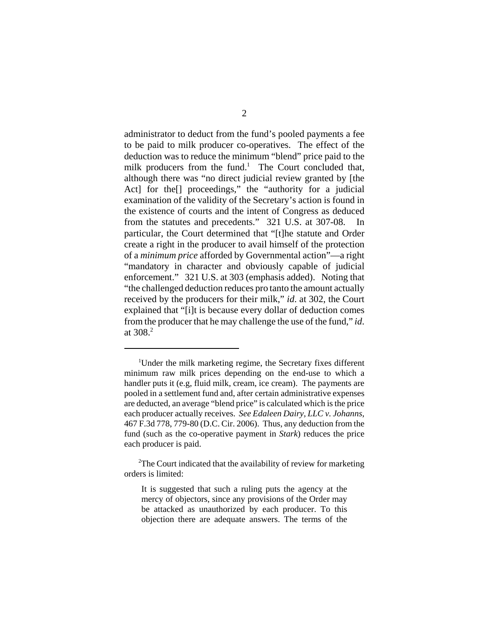administrator to deduct from the fund's pooled payments a fee to be paid to milk producer co-operatives. The effect of the deduction was to reduce the minimum "blend" price paid to the milk producers from the fund.<sup>1</sup> The Court concluded that, although there was "no direct judicial review granted by [the Act] for the<sup>[]</sup> proceedings," the "authority for a judicial examination of the validity of the Secretary's action is found in the existence of courts and the intent of Congress as deduced from the statutes and precedents." 321 U.S. at 307-08. In particular, the Court determined that "[t]he statute and Order create a right in the producer to avail himself of the protection of a *minimum price* afforded by Governmental action"—a right "mandatory in character and obviously capable of judicial enforcement." 321 U.S. at 303 (emphasis added). Noting that "the challenged deduction reduces pro tanto the amount actually received by the producers for their milk," *id*. at 302, the Court explained that "[i]t is because every dollar of deduction comes from the producer that he may challenge the use of the fund," *id*. at 308.<sup>2</sup>

<sup>&</sup>lt;sup>1</sup>Under the milk marketing regime, the Secretary fixes different minimum raw milk prices depending on the end-use to which a handler puts it (e.g, fluid milk, cream, ice cream). The payments are pooled in a settlement fund and, after certain administrative expenses are deducted, an average "blend price" is calculated which is the price each producer actually receives. *See Edaleen Dairy, LLC v. Johanns*, 467 F.3d 778, 779-80 (D.C. Cir. 2006). Thus, any deduction from the fund (such as the co-operative payment in *Stark*) reduces the price each producer is paid.

 $2$ The Court indicated that the availability of review for marketing orders is limited:

It is suggested that such a ruling puts the agency at the mercy of objectors, since any provisions of the Order may be attacked as unauthorized by each producer. To this objection there are adequate answers. The terms of the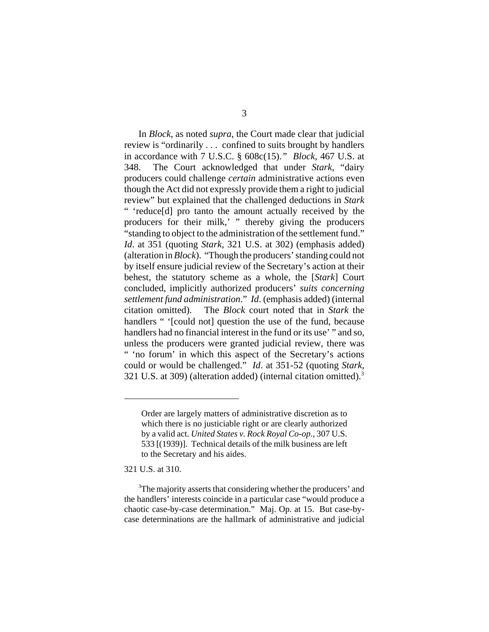In *Block*, as noted *supra*, the Court made clear that judicial review is "ordinarily . . . confined to suits brought by handlers in accordance with 7 U.S.C. § 608c(15).*" Block*, 467 U.S. at 348. The Court acknowledged that under *Stark*, "dairy producers could challenge *certain* administrative actions even though the Act did not expressly provide them a right to judicial review" but explained that the challenged deductions in *Stark* " 'reduce[d] pro tanto the amount actually received by the producers for their milk,' " thereby giving the producers "standing to object to the administration of the settlement fund." *Id*. at 351 (quoting *Stark*, 321 U.S. at 302) (emphasis added) (alteration in *Block*). "Though the producers' standing could not by itself ensure judicial review of the Secretary's action at their behest, the statutory scheme as a whole, the [*Stark*] Court concluded, implicitly authorized producers' *suits concerning settlement fund administration*." *Id*. (emphasis added) (internal citation omitted). The *Block* court noted that in *Stark* the handlers " '[could not] question the use of the fund, because handlers had no financial interest in the fund or its use' " and so, unless the producers were granted judicial review, there was " 'no forum' in which this aspect of the Secretary's actions could or would be challenged." *Id*. at 351-52 (quoting *Stark*, 321 U.S. at 309) (alteration added) (internal citation omitted).3

321 U.S. at 310.

Order are largely matters of administrative discretion as to which there is no justiciable right or are clearly authorized by a valid act. *United States v. Rock Royal Co-op*., 307 U.S. 533 [(1939)]. Technical details of the milk business are left to the Secretary and his aides.

<sup>&</sup>lt;sup>3</sup>The majority asserts that considering whether the producers' and the handlers' interests coincide in a particular case "would produce a chaotic case-by-case determination." Maj. Op. at 15. But case-bycase determinations are the hallmark of administrative and judicial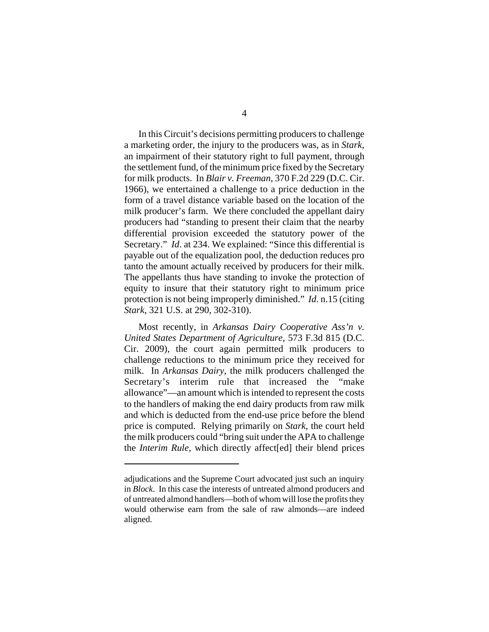In this Circuit's decisions permitting producers to challenge a marketing order, the injury to the producers was, as in *Stark*, an impairment of their statutory right to full payment, through the settlement fund, of the minimum price fixed by the Secretary for milk products. In *Blair v. Freeman*, 370 F.2d 229 (D.C. Cir. 1966), we entertained a challenge to a price deduction in the form of a travel distance variable based on the location of the milk producer's farm. We there concluded the appellant dairy producers had "standing to present their claim that the nearby differential provision exceeded the statutory power of the Secretary." *Id*. at 234. We explained: "Since this differential is payable out of the equalization pool, the deduction reduces pro tanto the amount actually received by producers for their milk. The appellants thus have standing to invoke the protection of equity to insure that their statutory right to minimum price protection is not being improperly diminished." *Id*. n.15 (citing *Stark*, 321 U.S. at 290, 302-310).

Most recently, in *Arkansas Dairy Cooperative Ass'n v. United States Department of Agriculture*, 573 F.3d 815 (D.C. Cir. 2009), the court again permitted milk producers to challenge reductions to the minimum price they received for milk. In *Arkansas Dairy*, the milk producers challenged the Secretary's interim rule that increased the "make allowance"—an amount which is intended to represent the costs to the handlers of making the end dairy products from raw milk and which is deducted from the end-use price before the blend price is computed. Relying primarily on *Stark*, the court held the milk producers could "bring suit under the APA to challenge the *Interim Rule,* which directly affect[ed] their blend prices

adjudications and the Supreme Court advocated just such an inquiry in *Block*. In this case the interests of untreated almond producers and of untreated almond handlers—both of whom will lose the profits they would otherwise earn from the sale of raw almonds—are indeed aligned.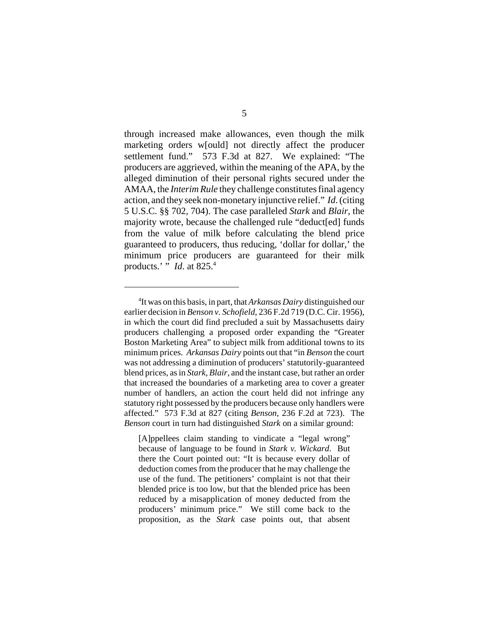through increased make allowances, even though the milk marketing orders w[ould] not directly affect the producer settlement fund." 573 F.3d at 827. We explained: "The producers are aggrieved, within the meaning of the APA, by the alleged diminution of their personal rights secured under the AMAA, the *Interim Rule* they challenge constitutes final agency action, and they seek non-monetary injunctive relief." *Id*. (citing 5 U.S.C. §§ 702, 704). The case paralleled *Stark* and *Blair*, the majority wrote, because the challenged rule "deduct[ed] funds from the value of milk before calculating the blend price guaranteed to producers, thus reducing, 'dollar for dollar,' the minimum price producers are guaranteed for their milk products.' " *Id*. at 825.4

[A]ppellees claim standing to vindicate a "legal wrong" because of language to be found in *Stark v. Wickard*. But there the Court pointed out: "It is because every dollar of deduction comes from the producer that he may challenge the use of the fund. The petitioners' complaint is not that their blended price is too low, but that the blended price has been reduced by a misapplication of money deducted from the producers' minimum price." We still come back to the proposition, as the *Stark* case points out, that absent

<sup>4</sup> It was on this basis, in part, that *Arkansas Dairy* distinguished our earlier decision in *Benson v. Schofield*, 236 F.2d 719 (D.C. Cir. 1956), in which the court did find precluded a suit by Massachusetts dairy producers challenging a proposed order expanding the "Greater Boston Marketing Area" to subject milk from additional towns to its minimum prices. *Arkansas Dairy* points out that "in *Benson* the court was not addressing a diminution of producers' statutorily-guaranteed blend prices, as in *Stark, Blair*, and the instant case, but rather an order that increased the boundaries of a marketing area to cover a greater number of handlers, an action the court held did not infringe any statutory right possessed by the producers because only handlers were affected." 573 F.3d at 827 (citing *Benson*, 236 F.2d at 723). The *Benson* court in turn had distinguished *Stark* on a similar ground: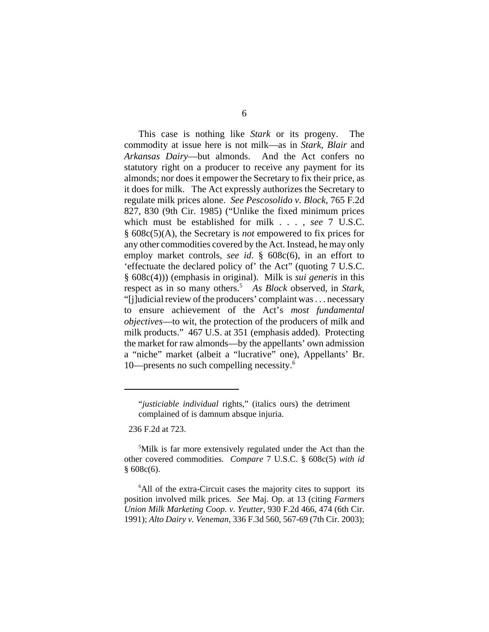This case is nothing like *Stark* or its progeny. The commodity at issue here is not milk—as in *Stark*, *Blair* and *Arkansas Dairy*—but almonds. And the Act confers no statutory right on a producer to receive any payment for its almonds; nor does it empower the Secretary to fix their price, as it does for milk. The Act expressly authorizes the Secretary to regulate milk prices alone. *See Pescosolido v. Block*, 765 F.2d 827, 830 (9th Cir. 1985) ("Unlike the fixed minimum prices which must be established for milk . . . , *see* 7 U.S.C. § 608c(5)(A), the Secretary is *not* empowered to fix prices for any other commodities covered by the Act. Instead, he may only employ market controls, *see id*. § 608c(6), in an effort to 'effectuate the declared policy of' the Act" (quoting 7 U.S.C. § 608c(4))) (emphasis in original). Milk is *sui generis* in this respect as in so many others.<sup>5</sup> As Block observed, in *Stark*, "[j]udicial review of the producers' complaint was . . . necessary to ensure achievement of the Act's *most fundamental objectives*—to wit, the protection of the producers of milk and milk products." 467 U.S. at 351 (emphasis added). Protecting the market for raw almonds—by the appellants' own admission a "niche" market (albeit a "lucrative" one), Appellants' Br. 10—presents no such compelling necessity.6

236 F.2d at 723.

<sup>5</sup>Milk is far more extensively regulated under the Act than the other covered commodities. *Compare* 7 U.S.C. § 608c(5) *with id*  $§ 608c(6).$ 

<sup>6</sup>All of the extra-Circuit cases the majority cites to support its position involved milk prices. *See* Maj. Op. at 13 (citing *Farmers Union Milk Marketing Coop. v. Yeutter*, 930 F.2d 466, 474 (6th Cir. 1991); *Alto Dairy v. Veneman*, 336 F.3d 560, 567-69 (7th Cir. 2003);

<sup>&</sup>quot;*justiciable individual* rights," (italics ours) the detriment complained of is damnum absque injuria.